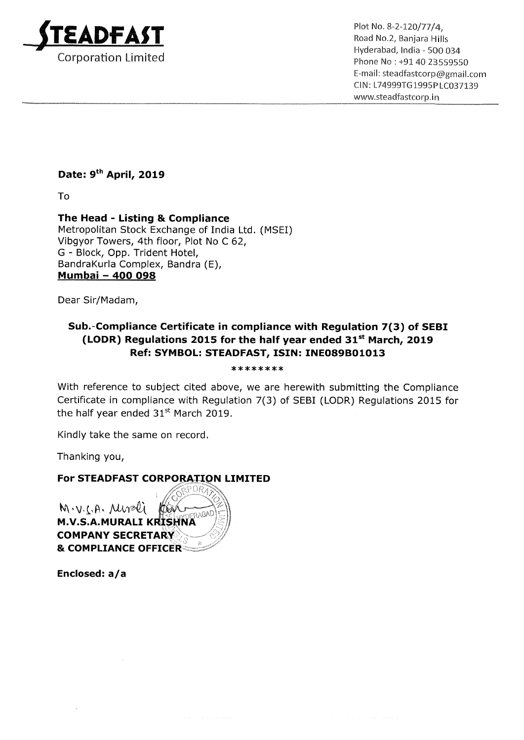

Plot No. 8-2-120/77/4, Road No.2, Banjara Hills Hyderabad, India — 500 034 Phone No: +91 40 23559550 E—mail: steadfastcorp@gmail.com ClN: L74999TG1995PLC037139 www.5teadfastcorp.in

## Date: 9<sup>th</sup> April, 2019

To

The Head - Listing & Compliance Metropolitan Stock Exchange of India Ltd. (MSEI) Vibgyor Towers, 4th floor, Plot No <sup>C</sup> 62, G <sup>~</sup> Block, Opp. Trident Hotel, BandraKurla Complex, Bandra (E), panurakuna Comple<br><mark>Mumbai – 400 098</mark>

Dear Sir/Madam,

## Sub.-Compliance Certificate in compliance with Regulation 7(3) of SEBI (LODR) Regulations 2015 for the half year ended  $31<sup>st</sup>$  March, 2019 Ref: SYMBOL: STEADFAST, ISIN: INE089B01013

\*\*\*\*\*\*\*\*

With reference to subject cited above, we are herewith submitting the Compliance Certificate in compliance with Regulation 7(3) of SEBI (LODR) Regulations 2015 for the half year ended  $31<sup>st</sup>$  March 2019.

Kindly take the same on record.

Thanking you,

For STEADFAST CORPORATION LIMITED

 $M \cdot V \cdot \zeta \cdot A \cdot \mathcal{M}$  $\n *QAVO*$ M.V.S.A.MURALI KRISHNA COMPANY SECRETA & COMPLIANCE OFFICER

Enclosed: a/a